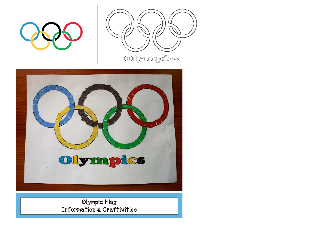





## Olympic Flag Information & Craftivities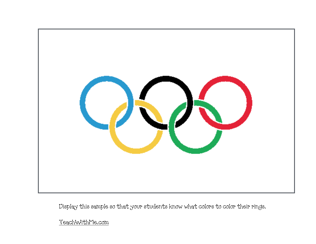

Display this sample so that your students know what colors to color their rings.

[TeachWithMe.com](http://TeachWithMe.com)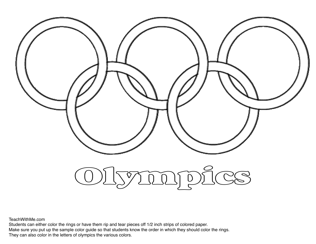

TeachWithMe.com

Students can either color the rings or have them rip and tear pieces off 1/2 inch strips of colored paper. Make sure you put up the sample color guide so that students know the order in which they should color the rings. They can also color in the letters of olympics the various colors.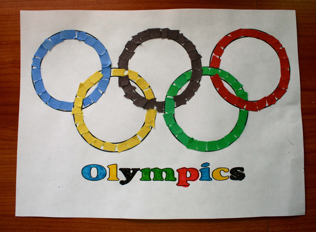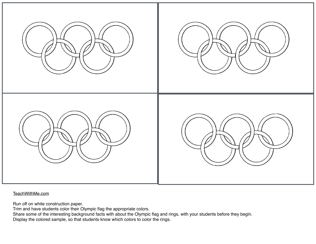

[TeachWithMe.com](http://TeachWithMe.com)

Run off on white construction paper.

Trim and have students color their Olympic flag the appropriate colors.

Share some of the interesting background facts with about the Olympic flag and rings, with your students before they begin. Display the colored sample, so that students know which colors to color the rings.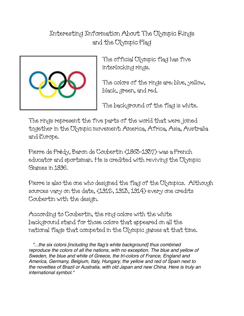## Interesting Information About The Olympic Rings and the Olympic Flag



The official Olympic flag has five interlocking rings.

The colors of the rings are: blue, yellow, black, green, and red.

The background of the flag is white.

The rings represent the five parts of the world that were joined together in the Olympic movement: America, Africa, Asia, Australia and Europe.

Pierre de Frédy, Baron de Coubertin (1863-1937) was a French educator and sportsman. He is credited with reviving the Olympic Games in 1896.

Pierre is also the one who designed the flag of the Olympics. Although sources vary on the date, (1912, 1913, 1914) every one credits Coubertin with the design.

According to Coubertin, the ring colors with the white background stand for those colors that appeared on all the national flags that competed in the Olympic games at that time.

 *"...the six colors [including the flag's white background] thus combined reproduce the colors of all the nations, with no exception. The blue and yellow of Sweden, the blue and white of Greece, the tri-colors of France, England and America, Germany, Belgium, Italy, Hungary, the yellow and red of Spain next to the novelties of Brazil or Australia, with old Japan and new China. Here is truly an international symbol."*